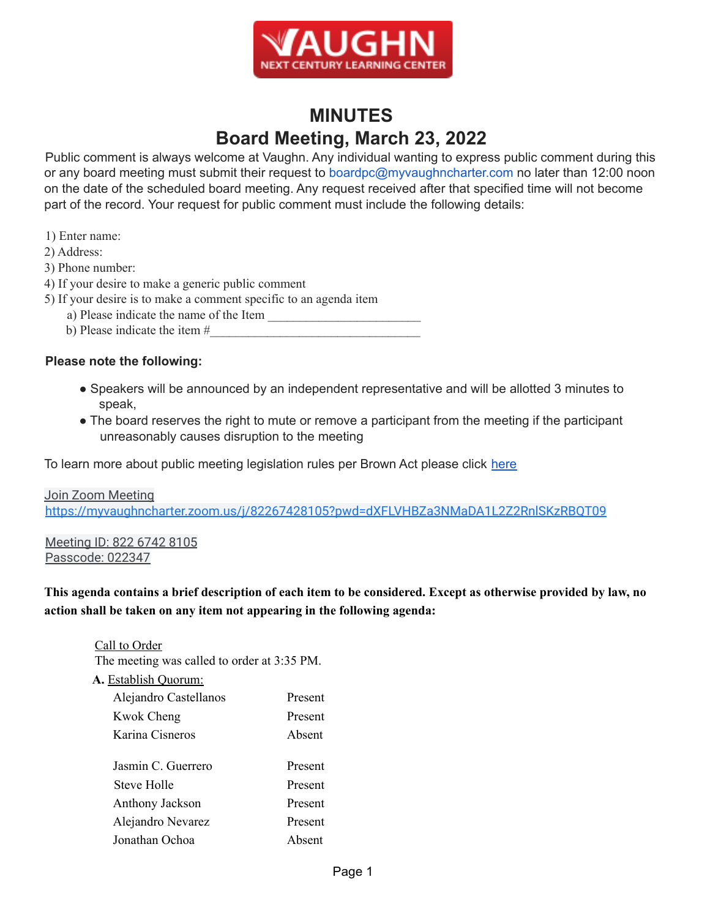

# **MINUTES Board Meeting, March 23, 2022**

Public comment is always welcome at Vaughn. Any individual wanting to express public comment during this or any board meeting must submit their request to boardpc@myvaughncharter.com no later than 12:00 noon on the date of the scheduled board meeting. Any request received after that specified time will not become part of the record. Your request for public comment must include the following details:

- 1) Enter name:
- 2) Address:
- 3) Phone number:
- 4) If your desire to make a generic public comment
- 5) If your desire is to make a comment specific to an agenda item
	- a) Please indicate the name of the Item
	- b) Please indicate the item #

#### **Please note the following:**

- Speakers will be announced by an independent representative and will be allotted 3 minutes to speak,
- The board reserves the right to mute or remove a participant from the meeting if the participant unreasonably causes disruption to the meeting

To learn more about public meeting legislation rules per Brown Act please click here

Join Zoom Meeting https://myvaughncharter.zoom.us/j/82267428105?pwd=dXFLVHBZa3NMaDA1L2Z2RnlSKzRBQT09

Meeting ID: 822 6742 8105 Passcode: 022347

This agenda contains a brief description of each item to be considered. Except as otherwise provided by law, no **action shall be taken on any item not appearing in the following agenda:**

Call to Order

The meeting was called to order at 3:35 PM.

**A.** Establish Quorum:

| Alejandro Castellanos | Present |
|-----------------------|---------|
| <b>Kwok Cheng</b>     | Present |
| Karina Cisneros       | Absent  |
|                       |         |
| Jasmin C. Guerrero    | Present |
| <b>Steve Holle</b>    | Present |
| Anthony Jackson       | Present |
| Alejandro Nevarez     | Present |
| Jonathan Ochoa        | Absent  |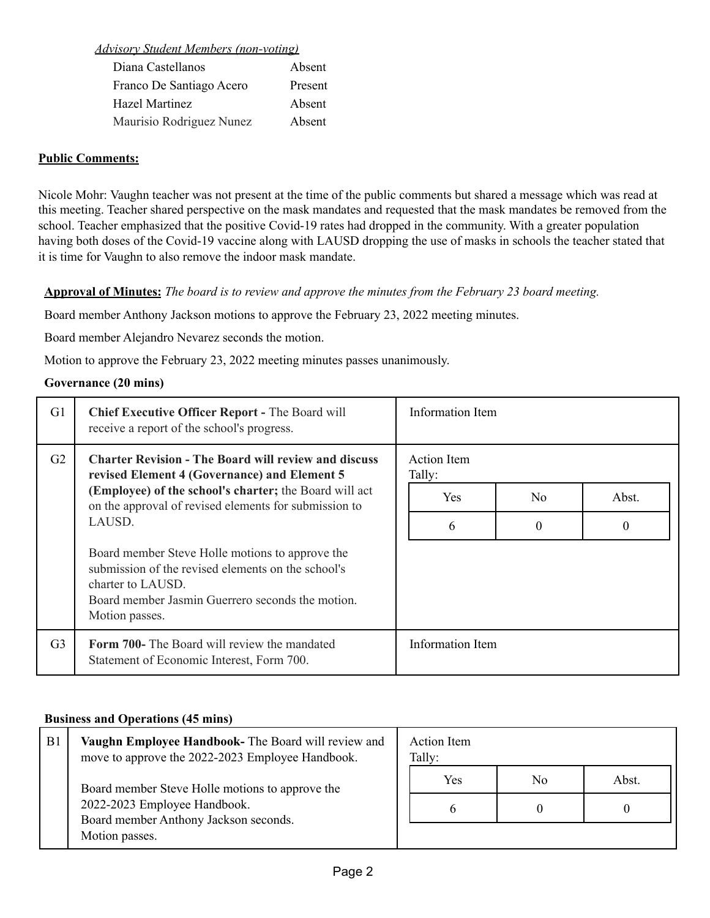*Advisory Student Members (non-voting)*

| Diana Castellanos        | Absent  |
|--------------------------|---------|
| Franco De Santiago Acero | Present |
| <b>Hazel Martinez</b>    | Absent  |
| Maurisio Rodriguez Nunez | Absent  |

### **Public Comments:**

Nicole Mohr: Vaughn teacher was not present at the time of the public comments but shared a message which was read at this meeting. Teacher shared perspective on the mask mandates and requested that the mask mandates be removed from the school. Teacher emphasized that the positive Covid-19 rates had dropped in the community. With a greater population having both doses of the Covid-19 vaccine along with LAUSD dropping the use of masks in schools the teacher stated that it is time for Vaughn to also remove the indoor mask mandate.

**Approval of Minutes:** The board is to review and approve the minutes from the February 23 board meeting.

Board member Anthony Jackson motions to approve the February 23, 2022 meeting minutes.

Board member Alejandro Nevarez seconds the motion.

Motion to approve the February 23, 2022 meeting minutes passes unanimously.

### **Governance (20 mins)**

| G1                                                                                                                | <b>Chief Executive Officer Report - The Board will</b><br>receive a report of the school's progress.                                                                                             | Information Item |                |       |
|-------------------------------------------------------------------------------------------------------------------|--------------------------------------------------------------------------------------------------------------------------------------------------------------------------------------------------|------------------|----------------|-------|
| G2<br><b>Charter Revision - The Board will review and discuss</b><br>revised Element 4 (Governance) and Element 5 | Action Item<br>Tally:                                                                                                                                                                            |                  |                |       |
|                                                                                                                   | (Employee) of the school's charter; the Board will act<br>on the approval of revised elements for submission to                                                                                  | <b>Yes</b>       | N <sub>0</sub> | Abst. |
| LAUSD.                                                                                                            | 6                                                                                                                                                                                                | $\theta$         | $\theta$       |       |
|                                                                                                                   | Board member Steve Holle motions to approve the<br>submission of the revised elements on the school's<br>charter to LAUSD.<br>Board member Jasmin Guerrero seconds the motion.<br>Motion passes. |                  |                |       |
| G <sub>3</sub>                                                                                                    | <b>Form 700-</b> The Board will review the mandated<br>Statement of Economic Interest, Form 700.                                                                                                 | Information Item |                |       |

#### **Business and Operations (45 mins)**

| B <sub>1</sub> | Vaughn Employee Handbook- The Board will review and<br>move to approve the 2022-2023 Employee Handbook. | Action Item<br>Tally: |                |       |
|----------------|---------------------------------------------------------------------------------------------------------|-----------------------|----------------|-------|
|                | Board member Steve Holle motions to approve the                                                         | Yes                   | N <sub>0</sub> | Abst. |
|                | 2022-2023 Employee Handbook.<br>Board member Anthony Jackson seconds.<br>Motion passes.                 | $\sigma$              |                |       |
|                |                                                                                                         |                       |                |       |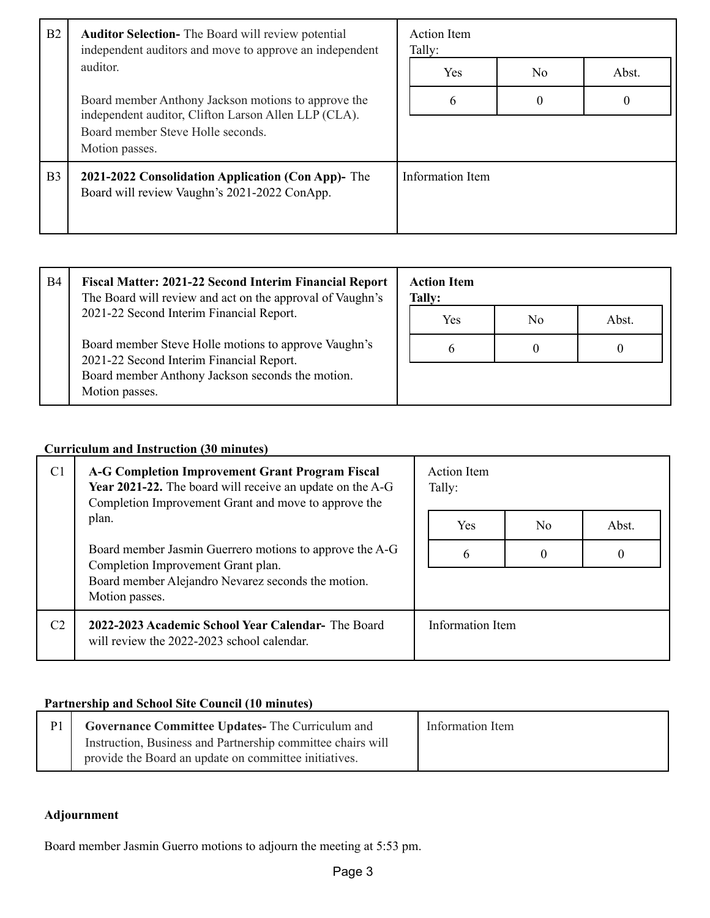| B2<br><b>Auditor Selection-</b> The Board will review potential<br>independent auditors and move to approve an independent                                         | Action Item<br>Tally:                                                                              |                  |                |       |
|--------------------------------------------------------------------------------------------------------------------------------------------------------------------|----------------------------------------------------------------------------------------------------|------------------|----------------|-------|
|                                                                                                                                                                    | auditor.                                                                                           | <b>Yes</b>       | N <sub>0</sub> | Abst. |
| Board member Anthony Jackson motions to approve the<br>independent auditor, Clifton Larson Allen LLP (CLA).<br>Board member Steve Holle seconds.<br>Motion passes. | 6                                                                                                  | $\theta$         | $\theta$       |       |
| B <sub>3</sub>                                                                                                                                                     | 2021-2022 Consolidation Application (Con App)- The<br>Board will review Vaughn's 2021-2022 ConApp. | Information Item |                |       |

| <b>B4</b> | Fiscal Matter: 2021-22 Second Interim Financial Report<br>The Board will review and act on the approval of Vaughn's                                                    | <b>Action Item</b><br>Tally: |                |       |
|-----------|------------------------------------------------------------------------------------------------------------------------------------------------------------------------|------------------------------|----------------|-------|
|           | 2021-22 Second Interim Financial Report.                                                                                                                               | Yes                          | N <sub>0</sub> | Abst. |
|           | Board member Steve Holle motions to approve Vaughn's<br>2021-22 Second Interim Financial Report.<br>Board member Anthony Jackson seconds the motion.<br>Motion passes. | $\sigma$                     |                |       |
|           |                                                                                                                                                                        |                              |                |       |

## **Curriculum and Instruction (30 minutes)**

| C <sub>1</sub> | <b>A-G Completion Improvement Grant Program Fiscal</b><br>Year 2021-22. The board will receive an update on the A-G<br>Completion Improvement Grant and move to approve the | Action Item<br>Tally: |     |          |
|----------------|-----------------------------------------------------------------------------------------------------------------------------------------------------------------------------|-----------------------|-----|----------|
|                | plan.                                                                                                                                                                       | Yes                   | No. | Abst.    |
|                | Board member Jasmin Guerrero motions to approve the A-G<br>Completion Improvement Grant plan.<br>Board member Alejandro Nevarez seconds the motion.<br>Motion passes.       | 6                     | 0   | $\Omega$ |
| C <sub>2</sub> | 2022-2023 Academic School Year Calendar- The Board<br>will review the 2022-2023 school calendar.                                                                            | Information Item      |     |          |

## **Partnership and School Site Council (10 minutes)**

| Governance Committee Updates-The Curriculum and             | Information Item |
|-------------------------------------------------------------|------------------|
| Instruction, Business and Partnership committee chairs will |                  |
| provide the Board an update on committee initiatives.       |                  |

### **Adjournment**

Board member Jasmin Guerro motions to adjourn the meeting at 5:53 pm.